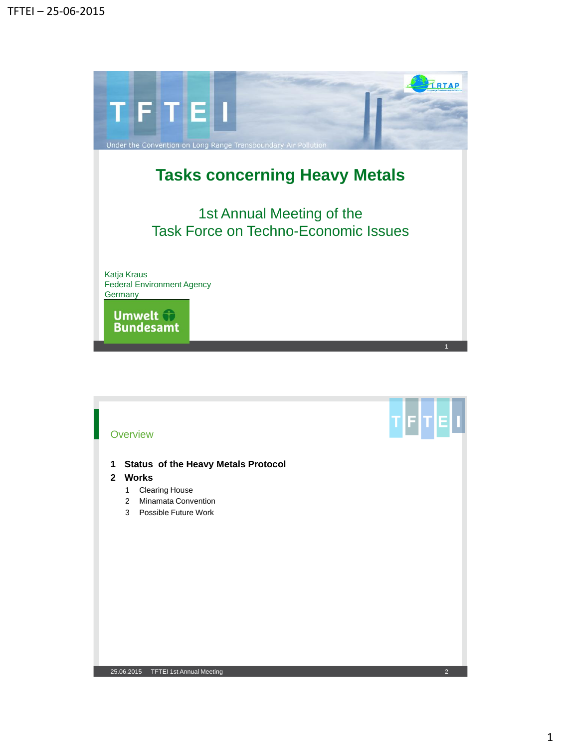

# **Overview**

**1 Status of the Heavy Metals Protocol**

## **2 Works**

- 1 Clearing House
- 2 Minamata Convention
- 3 Possible Future Work

## 25.06.2015 TFTEI 1st Annual Meeting 2

TETEL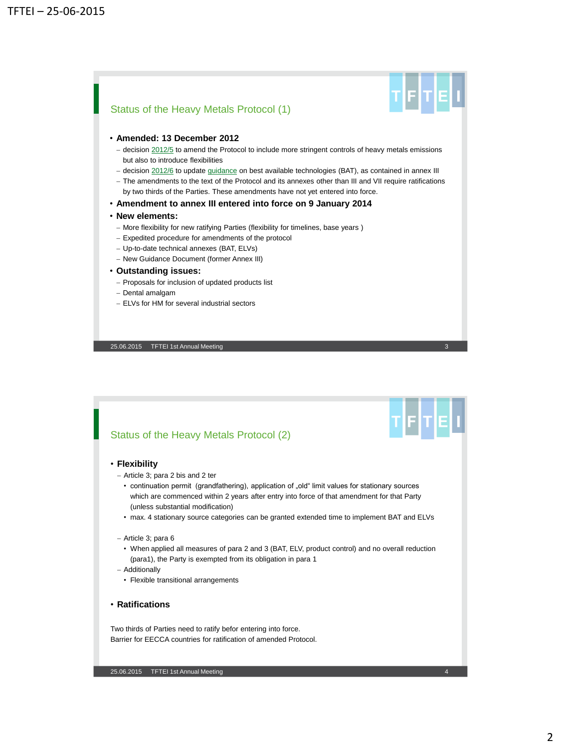

# • **Amended: 13 December 2012**

- $-$  decision  $2012/5$  to amend the Protocol to include more stringent controls of heavy metals emissions but also to introduce flexibilities
- decision [2012/6](http://www.unece.org/fileadmin/DAM/env/documents/2012/EB/Decision_2012_6.pdf) to update *quidance* on best available technologies (BAT), as contained in annex III
- The amendments to the text of the Protocol and its annexes other than III and VII require ratifications by two thirds of the Parties. These amendments have not yet entered into force.

## • **Amendment to annex III entered into force on 9 January 2014**

## • **New elements:**

- More flexibility for new ratifying Parties (flexibility for timelines, base years)
- Expedited procedure for amendments of the protocol
- Up-to-date technical annexes (BAT, ELVs)
- New Guidance Document (former Annex III)

## • **Outstanding issues:**

- Proposals for inclusion of updated products list
- Dental amalgam
- ELVs for HM for several industrial sectors

25.06.2015 TFTEI 1st Annual Meeting

Status of the Heavy Metals Protocol (2)

#### • **Flexibility**

- Article 3; para 2 bis and 2 ter
	- continuation permit (grandfathering), application of "old" limit values for stationary sources which are commenced within 2 years after entry into force of that amendment for that Party (unless substantial modification)
	- max. 4 stationary source categories can be granted extended time to implement BAT and ELVs
- Article 3; para 6
	- When applied all measures of para 2 and 3 (BAT, ELV, product control) and no overall reduction (para1), the Party is exempted from its obligation in para 1
- Additionally
	- Flexible transitional arrangements
- **Ratifications**

Two thirds of Parties need to ratify befor entering into force. Barrier for EECCA countries for ratification of amended Protocol.

┲┠╒┠┯╞═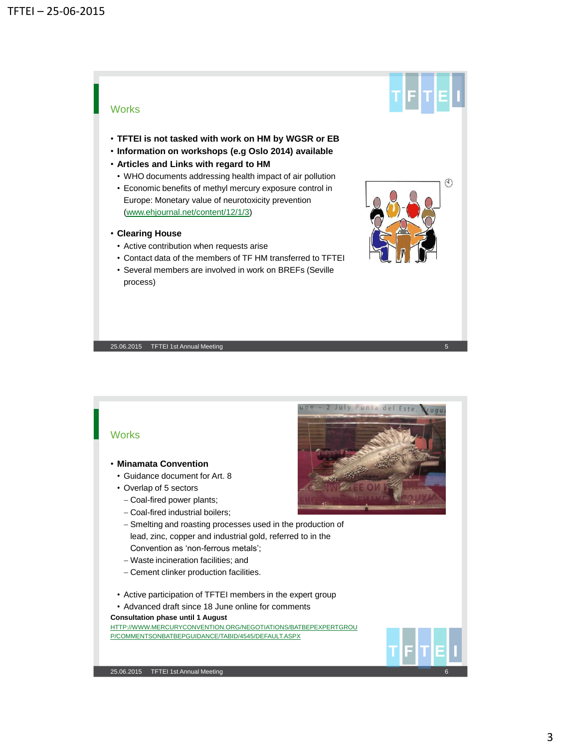# **Works**

- **TFTEI is not tasked with work on HM by WGSR or EB**
- **Information on workshops (e.g Oslo 2014) available**
- **Articles and Links with regard to HM**
- WHO documents addressing health impact of air pollution
- Economic benefits of methyl mercury exposure control in Europe: Monetary value of neurotoxicity prevention ([www.ehjournal.net/content/12/1/3](http://www.ehjournal.net/content/12/1/3))
- **Clearing House**
	- Active contribution when requests arise
	- Contact data of the members of TF HM transferred to TFTEI
	- Several members are involved in work on BREFs (Seville process)







- **Minamata Convention**
	- Guidance document for Art. 8
	- Overlap of 5 sectors
		- Coal-fired power plants;
		- Coal-fired industrial boilers;
		- Smelting and roasting processes used in the production of lead, zinc, copper and industrial gold, referred to in the Convention as 'non-ferrous metals';
		- Waste incineration facilities; and
		- Cement clinker production facilities.
	- Active participation of TFTEI members in the expert group
- Advanced draft since 18 June online for comments

## **Consultation phase until 1 August**

[HTTP://WWW.MERCURYCONVENTION.ORG/NEGOTIATIONS/BATBEPEXPERTGROU](http://www.mercuryconvention.org/Negotiations/BATBEPExpertGroup/CommentsonBATBEPguidance/tabid/4545/Default.aspx) [P/COMMENTSONBATBEPGUIDANCE/TABID/4545/DEFAULT.ASPX](http://www.mercuryconvention.org/Negotiations/BATBEPExpertGroup/CommentsonBATBEPguidance/tabid/4545/Default.aspx)



Tetlelu

 $\mathbb{C}$